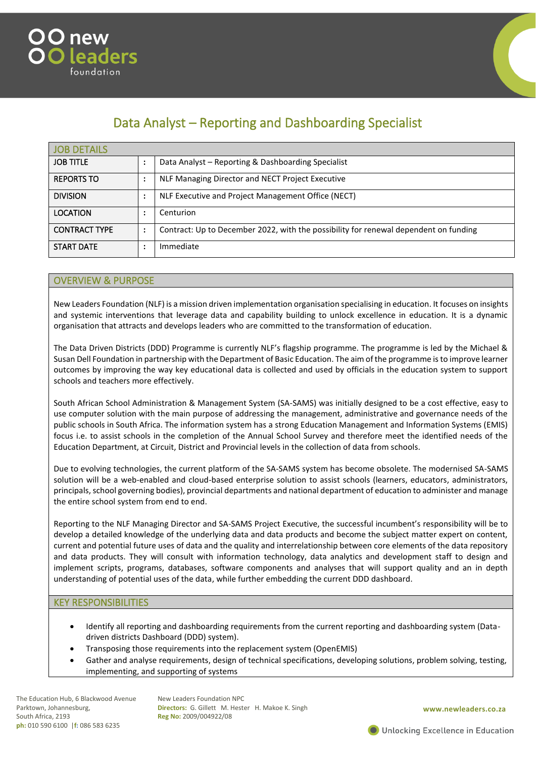



# Data Analyst – Reporting and Dashboarding Specialist

| <b>JOB DETAILS</b>   |   |                                                                                      |
|----------------------|---|--------------------------------------------------------------------------------------|
| <b>JOB TITLE</b>     |   | Data Analyst - Reporting & Dashboarding Specialist                                   |
| <b>REPORTS TO</b>    | ٠ | NLF Managing Director and NECT Project Executive                                     |
| <b>DIVISION</b>      | ٠ | NLF Executive and Project Management Office (NECT)                                   |
| <b>LOCATION</b>      |   | Centurion                                                                            |
| <b>CONTRACT TYPE</b> | ٠ | Contract: Up to December 2022, with the possibility for renewal dependent on funding |
| <b>START DATE</b>    |   | Immediate                                                                            |

### OVERVIEW & PURPOSE

New Leaders Foundation (NLF) is a mission driven implementation organisation specialising in education. It focuses on insights and systemic interventions that leverage data and capability building to unlock excellence in education. It is a dynamic organisation that attracts and develops leaders who are committed to the transformation of education.

The Data Driven Districts (DDD) Programme is currently NLF's flagship programme. The programme is led by the Michael & Susan Dell Foundation in partnership with the Department of Basic Education. The aim of the programme is to improve learner outcomes by improving the way key educational data is collected and used by officials in the education system to support schools and teachers more effectively.

South African School Administration & Management System (SA-SAMS) was initially designed to be a cost effective, easy to use computer solution with the main purpose of addressing the management, administrative and governance needs of the public schools in South Africa. The information system has a strong Education Management and Information Systems (EMIS) focus i.e. to assist schools in the completion of the Annual School Survey and therefore meet the identified needs of the Education Department, at Circuit, District and Provincial levels in the collection of data from schools.

Due to evolving technologies, the current platform of the SA-SAMS system has become obsolete. The modernised SA-SAMS solution will be a web-enabled and cloud-based enterprise solution to assist schools (learners, educators, administrators, principals, school governing bodies), provincial departments and national department of education to administer and manage the entire school system from end to end.

Reporting to the NLF Managing Director and SA-SAMS Project Executive, the successful incumbent's responsibility will be to develop a detailed knowledge of the underlying data and data products and become the subject matter expert on content, current and potential future uses of data and the quality and interrelationship between core elements of the data repository and data products. They will consult with information technology, data analytics and development staff to design and implement scripts, programs, databases, software components and analyses that will support quality and an in depth understanding of potential uses of the data, while further embedding the current DDD dashboard.

### KEY RESPONSIBILITIES

- Identify all reporting and dashboarding requirements from the current reporting and dashboarding system (Datadriven districts Dashboard (DDD) system).
- Transposing those requirements into the replacement system (OpenEMIS)
- Gather and analyse requirements, design of technical specifications, developing solutions, problem solving, testing, implementing, and supporting of systems

The Education Hub, 6 Blackwood Avenue Parktown, Johannesburg, South Africa, 2193 **ph:** 010 590 6100 |**f:** 086 583 6235

New Leaders Foundation NPC **Directors:** G. Gillett M. Hester H. Makoe K. Singh **Reg No:** 2009/004922/08

**www.newleaders.co.za**